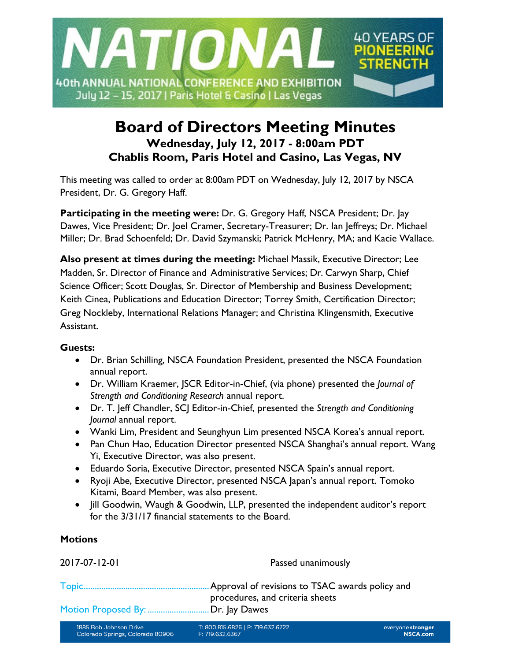

# **Board of Directors Meeting Minutes Wednesday, July 12, 2017 - 8:00am PDT Chablis Room, Paris Hotel and Casino, Las Vegas, NV**

This meeting was called to order at 8:00am PDT on Wednesday, July 12, 2017 by NSCA President, Dr. G. Gregory Haff.

**Participating in the meeting were:** Dr. G. Gregory Haff, NSCA President; Dr. Jay Dawes, Vice President; Dr. Joel Cramer, Secretary-Treasurer; Dr. Ian Jeffreys; Dr. Michael Miller; Dr. Brad Schoenfeld; Dr. David Szymanski; Patrick McHenry, MA; and Kacie Wallace.

**Also present at times during the meeting:** Michael Massik, Executive Director; Lee Madden, Sr. Director of Finance and Administrative Services; Dr. Carwyn Sharp, Chief Science Officer; Scott Douglas, Sr. Director of Membership and Business Development; Keith Cinea, Publications and Education Director; Torrey Smith, Certification Director; Greg Nockleby, International Relations Manager; and Christina Klingensmith, Executive Assistant.

## **Guests:**

- Dr. Brian Schilling, NSCA Foundation President, presented the NSCA Foundation annual report.
- Dr. William Kraemer, JSCR Editor-in-Chief, (via phone) presented the *Journal of Strength and Conditioning Research* annual report.
- Dr. T. Jeff Chandler, SCJ Editor-in-Chief, presented the *Strength and Conditioning Journal* annual report.
- Wanki Lim, President and Seunghyun Lim presented NSCA Korea's annual report.
- Pan Chun Hao, Education Director presented NSCA Shanghai's annual report. Wang Yi, Executive Director, was also present.
- Eduardo Soria, Executive Director, presented NSCA Spain's annual report.
- Ryoji Abe, Executive Director, presented NSCA Japan's annual report. Tomoko Kitami, Board Member, was also present.
- Jill Goodwin, Waugh & Goodwin, LLP, presented the independent auditor's report for the 3/31/17 financial statements to the Board.

# **Motions**

| 2017-07-12-01                                              | Passed unanimously                                   |                                   |
|------------------------------------------------------------|------------------------------------------------------|-----------------------------------|
|                                                            | Approval of revisions to TSAC awards policy and      |                                   |
| Motion Proposed By: Dr. Jay Dawes                          | procedures, and criteria sheets                      |                                   |
| 1885 Bob Johnson Drive<br>Colorado Springs, Colorado 80906 | T: 800.815.6826   P: 719.632.6722<br>F: 719.632.6367 | everyone strong<br><b>NSCA.co</b> |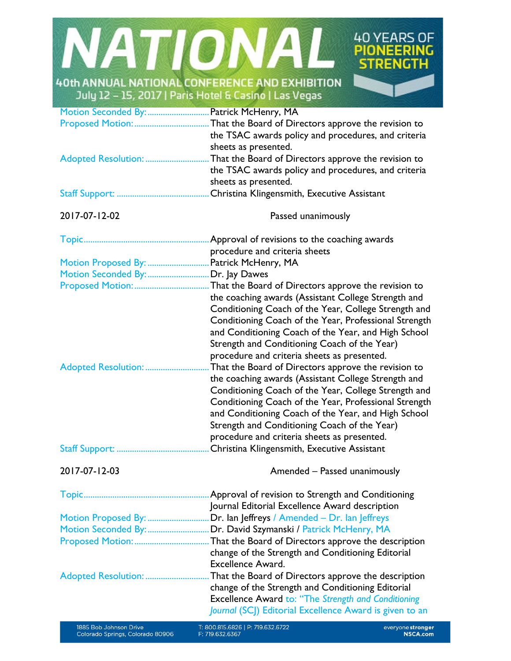

|                     | Approval of revisions to the coaching awards          |  |
|---------------------|-------------------------------------------------------|--|
|                     | procedure and criteria sheets                         |  |
| Motion Proposed By: | Patrick McHenry, MA                                   |  |
| Motion Seconded By: | Dr. Jay Dawes                                         |  |
| Proposed Motion:    | That the Board of Directors approve the revision to   |  |
|                     | the coaching awards (Assistant College Strength and   |  |
|                     | Conditioning Coach of the Year, College Strength and  |  |
|                     | Conditioning Coach of the Year, Professional Strength |  |
|                     | and Conditioning Coach of the Year, and High School   |  |
|                     | Strength and Conditioning Coach of the Year)          |  |
|                     | procedure and criteria sheets as presented.           |  |
| Adopted Resolution: | That the Board of Directors approve the revision to   |  |
|                     | the coaching awards (Assistant College Strength and   |  |
|                     | Conditioning Coach of the Year, College Strength and  |  |
|                     | Conditioning Coach of the Year, Professional Strength |  |
|                     | and Conditioning Coach of the Year, and High School   |  |
|                     | Strength and Conditioning Coach of the Year)          |  |
|                     | procedure and criteria sheets as presented.           |  |
| Staff Support:      | Christina Klingensmith, Executive Assistant           |  |

2017-07-12-03 Amended – Passed unanimously

|                             | Approval of revision to Strength and Conditioning          |
|-----------------------------|------------------------------------------------------------|
|                             | Journal Editorial Excellence Award description             |
| Motion Proposed By:         | Dr. Ian Jeffreys / Amended - Dr. Ian Jeffreys              |
| Motion Seconded By:         | Dr. David Szymanski / Patrick McHenry, MA                  |
| <b>Proposed Motion:</b>     | That the Board of Directors approve the description        |
|                             | change of the Strength and Conditioning Editorial          |
|                             | <b>Excellence Award.</b>                                   |
| <b>Adopted Resolution: </b> | That the Board of Directors approve the description        |
|                             | change of the Strength and Conditioning Editorial          |
|                             | <b>Excellence Award to: "The Strength and Conditioning</b> |
|                             | Journal (SCJ) Editorial Excellence Award is given to an    |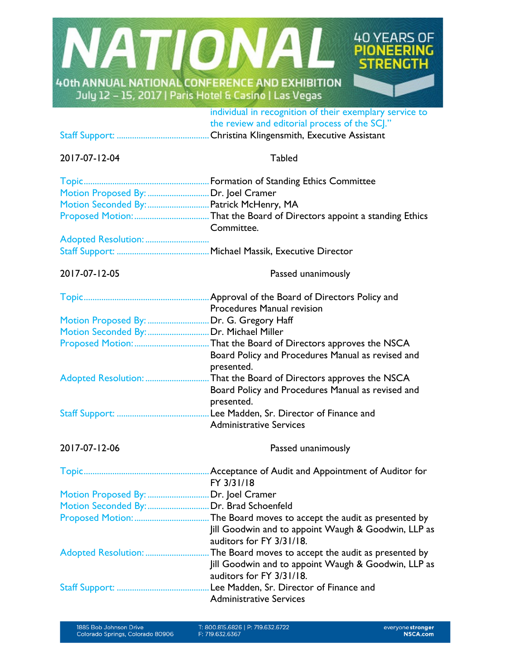

individual in recognition of their exemplary service to the review and editorial process of the SCJ."

Staff Support: ..........................................Christina Klingensmith, Executive Assistant

# 2017-07-12-04 Tabled

| Motion Proposed By:  Dr. Joel Cramer     |                                                                                 |  |
|------------------------------------------|---------------------------------------------------------------------------------|--|
|                                          | Motion Seconded By:  Patrick McHenry, MA                                        |  |
|                                          | Committee.                                                                      |  |
| Adopted Resolution:                      |                                                                                 |  |
|                                          |                                                                                 |  |
| 2017-07-12-05                            | Passed unanimously                                                              |  |
|                                          |                                                                                 |  |
|                                          | Procedures Manual revision                                                      |  |
| Motion Proposed By:  Dr. G. Gregory Haff |                                                                                 |  |
| Motion Seconded By:  Dr. Michael Miller  |                                                                                 |  |
|                                          |                                                                                 |  |
|                                          | Board Policy and Procedures Manual as revised and                               |  |
|                                          | presented.                                                                      |  |
|                                          | Adopted Resolution: That the Board of Directors approves the NSCA               |  |
|                                          | Board Policy and Procedures Manual as revised and<br>presented.                 |  |
|                                          |                                                                                 |  |
|                                          | <b>Administrative Services</b>                                                  |  |
| 2017-07-12-06                            | Passed unanimously                                                              |  |
|                                          | FY 3/31/18                                                                      |  |
| Motion Proposed By:  Dr. Joel Cramer     |                                                                                 |  |
| Motion Seconded By:  Dr. Brad Schoenfeld |                                                                                 |  |
|                                          |                                                                                 |  |
|                                          | Jill Goodwin and to appoint Waugh & Goodwin, LLP as<br>auditors for FY 3/31/18. |  |
|                                          |                                                                                 |  |
|                                          | Jill Goodwin and to appoint Waugh & Goodwin, LLP as                             |  |
|                                          | auditors for FY 3/31/18.                                                        |  |
|                                          |                                                                                 |  |
|                                          | <b>Administrative Services</b>                                                  |  |